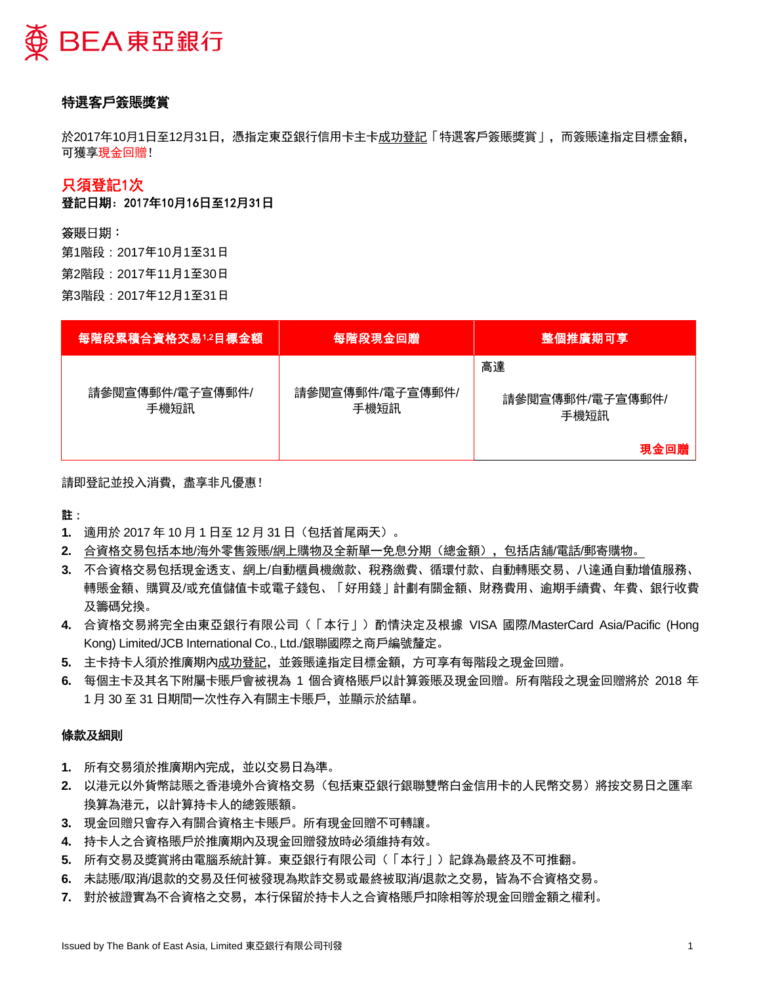

# 特選客戶簽賬獎賞

於2017年10月1日至12月31日,憑指定東亞銀行信用卡主卡成功登記「特選客戶簽賬獎賞」,而簽賬達指定目標金額, 可獲享現金回贈!

## 只須登記1次

登記日期:2017年10月16日至12月31日

### 簽賬日期:

第1階段:2017年10月1至31日 第2階段:2017年11月1至30日 第3階段:2017年12月1至31日

| 每階段累積合資格交易1.2目標金額       | 每階段現金回贈                 | 整個推廣期可享                               |
|-------------------------|-------------------------|---------------------------------------|
| 請參閱宣傳郵件/電子宣傳郵件/<br>手機短訊 | 請參閱宣傳郵件/電子宣傳郵件/<br>手機短訊 | 高達<br>請參閱宣傳郵件/電子宣傳郵件/<br>手機短訊<br>現金回贈 |

請即登記並投入消費,盡享非凡優惠!

註:

- **1.** 適用於 2017 年 10 月 1 日至 12 月 31 日(包括首尾兩天)。
- **2.** 合資格交易包括本地/海外零售簽賬/網上購物及全新單一免息分期(總金額),包括店舖/電話/郵寄購物。
- **3.** 不合資格交易包括現金透支、網上/自動櫃員機繳款、稅務繳費、循環付款、自動轉賬交易、八達通自動增值服務、 轉賬金額、購買及/或充值儲值卡或電子錢包、「好用錢」計劃有關金額、財務費用、逾期手續費、年費、銀行收費 及籌碼兌換。
- **4.** 合資格交易將完全由東亞銀行有限公司(「本行」)酌情決定及根據 VISA 國際/MasterCard Asia/Pacific (Hong Kong) Limited/JCB International Co., Ltd./銀聯國際之商戶編號釐定。
- **5.** 主卡持卡人須於推廣期內成功登記,並簽賬達指定目標金額,方可享有每階段之現金回贈。
- **6.** 每個主卡及其名下附屬卡賬戶會被視為 1 個合資格賬戶以計算簽賬及現金回贈。所有階段之現金回贈將於 2018 年 1 月 30 至 31 日期間一次性存入有關主卡賬戶,並顯示於結單。

#### 條款及細則

- **1.** 所有交易須於推廣期內完成,並以交易日為準。
- **2.** 以港元以外貨幣誌賬之香港境外合資格交易(包括東亞銀行銀聯雙幣白金信用卡的人民幣交易)將按交易日之匯率 換算為港元,以計算持卡人的總簽賬額。
- **3.** 現金回贈只會存入有關合資格主卡賬戶。所有現金回贈不可轉讓。
- **4.** 持卡人之合資格賬戶於推廣期內及現金回贈發放時必須維持有效。
- **5.** 所有交易及獎賞將由電腦系統計算。東亞銀行有限公司(「本行」)記錄為最終及不可推翻。
- **6.** 未誌賬/取消/退款的交易及任何被發現為欺詐交易或最終被取消/退款之交易,皆為不合資格交易。
- **7.** 對於被證實為不合資格之交易,本行保留於持卡人之合資格賬戶扣除相等於現金回贈金額之權利。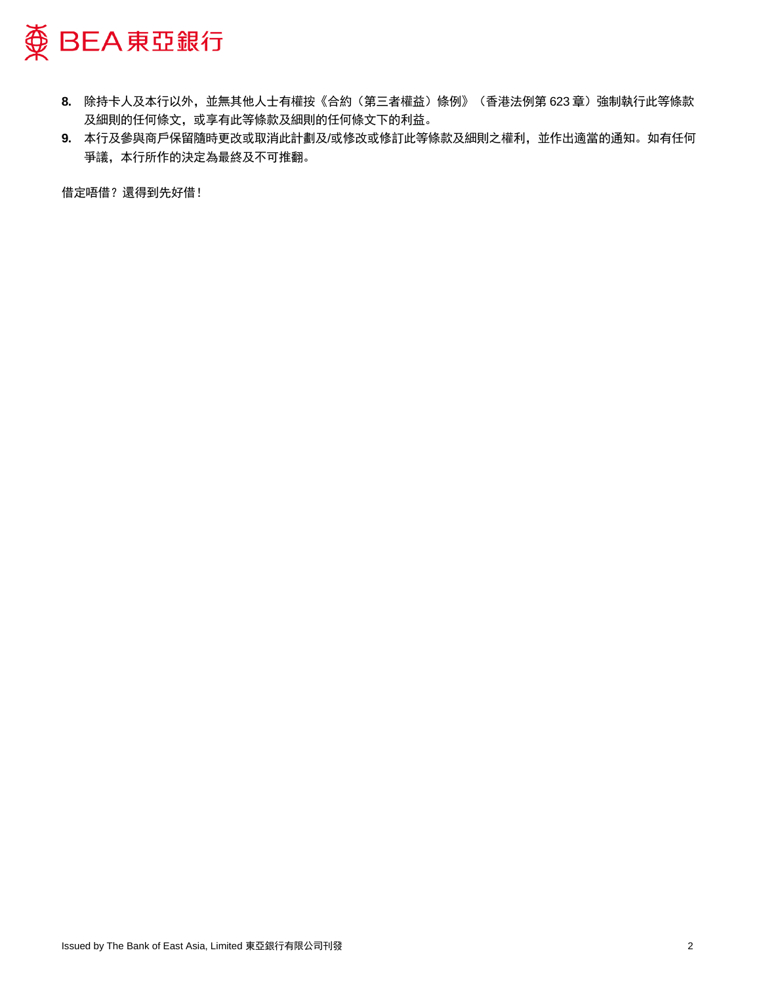

- 8. 除持卡人及本行以外,並無其他人士有權按《合約(第三者權益)條例》(香港法例第 623章)強制執行此等條款 及細則的任何條文,或享有此等條款及細則的任何條文下的利益。
- **9.** 本行及參與商戶保留隨時更改或取消此計劃及/或修改或修訂此等條款及細則之權利,並作出適當的通知。如有任何 爭議,本行所作的決定為最終及不可推翻。

借定唔借?還得到先好借!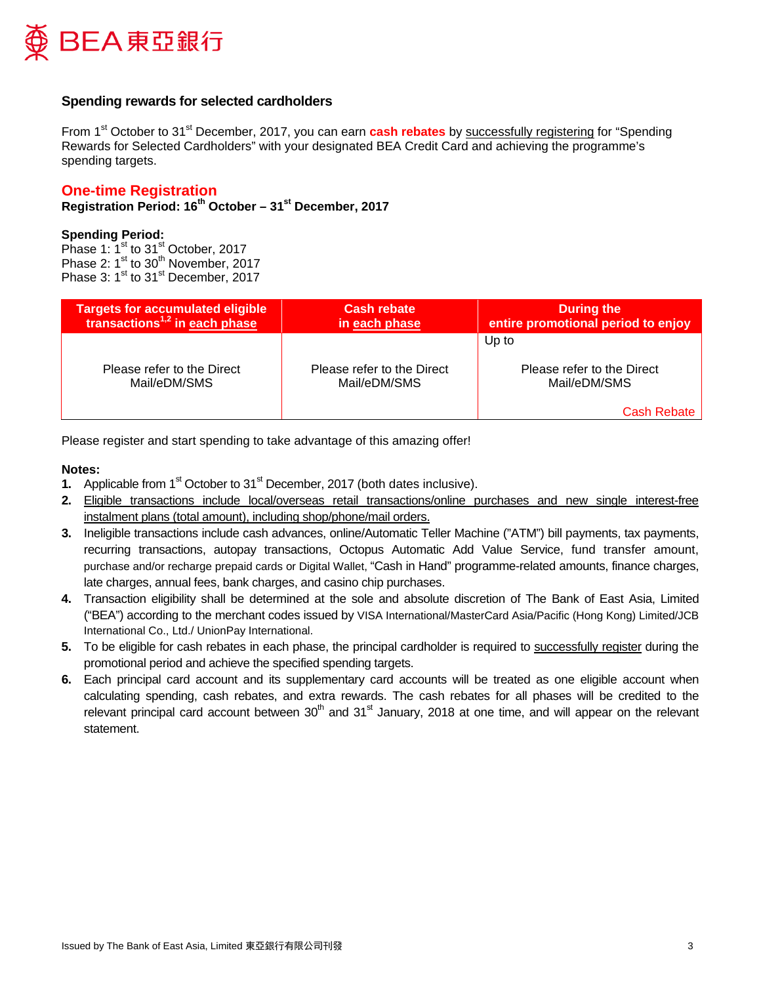

### **Spending rewards for selected cardholders**

From 1<sup>st</sup> October to 31<sup>st</sup> December, 2017, you can earn **cash rebates** by successfully registering for "Spending Rewards for Selected Cardholders" with your designated BEA Credit Card and achieving the programme's spending targets.

### **One-time Registration**

**Registration Period: 16th October – 31st December, 2017**

### **Spending Period:**

Phase 1:  $1<sup>st</sup>$  to 31<sup>st</sup> October, 2017 Phase 2:  $1^{\text{st}}$  to 30<sup>th</sup> November, 2017 Phase 3: 1<sup>st</sup> to 31<sup>st</sup> December, 2017

| <b>Targets for accumulated eligible</b>    | <b>Cash rebate</b>                         | <b>During the</b>                                                  |
|--------------------------------------------|--------------------------------------------|--------------------------------------------------------------------|
| transactions $1,2$ in each phase           | in each phase                              | entire promotional period to enjoy                                 |
| Please refer to the Direct<br>Mail/eDM/SMS | Please refer to the Direct<br>Mail/eDM/SMS | Up to<br>Please refer to the Direct<br>Mail/eDM/SMS<br>Cash Rebate |

Please register and start spending to take advantage of this amazing offer!

#### **Notes:**

- **1.** Applicable from 1<sup>st</sup> October to 31<sup>st</sup> December, 2017 (both dates inclusive).
- **2.** Eligible transactions include local/overseas retail transactions/online purchases and new single interest-free instalment plans (total amount), including shop/phone/mail orders.
- **3.** Ineligible transactions include cash advances, online/Automatic Teller Machine ("ATM") bill payments, tax payments, recurring transactions, autopay transactions, Octopus Automatic Add Value Service, fund transfer amount, purchase and/or recharge prepaid cards or Digital Wallet, "Cash in Hand" programme-related amounts, finance charges, late charges, annual fees, bank charges, and casino chip purchases.
- **4.** Transaction eligibility shall be determined at the sole and absolute discretion of The Bank of East Asia, Limited ("BEA") according to the merchant codes issued by VISA International/MasterCard Asia/Pacific (Hong Kong) Limited/JCB International Co., Ltd./ UnionPay International.
- **5.** To be eligible for cash rebates in each phase, the principal cardholder is required to successfully register during the promotional period and achieve the specified spending targets.
- **6.** Each principal card account and its supplementary card accounts will be treated as one eligible account when calculating spending, cash rebates, and extra rewards. The cash rebates for all phases will be credited to the relevant principal card account between 30<sup>th</sup> and 31<sup>st</sup> January, 2018 at one time, and will appear on the relevant statement.